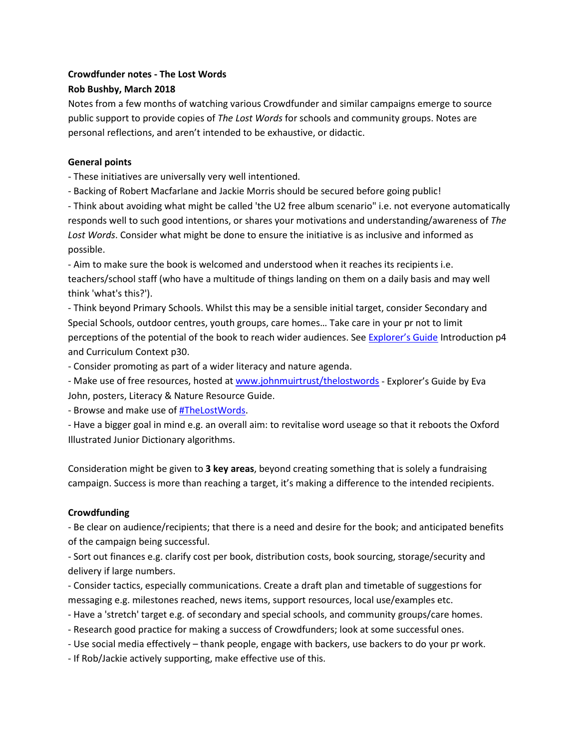# **Crowdfunder notes - The Lost Words Rob Bushby, March 2018**

Notes from a few months of watching various Crowdfunder and similar campaigns emerge to source public support to provide copies of *The Lost Words* for schools and community groups. Notes are personal reflections, and aren't intended to be exhaustive, or didactic.

### **General points**

- These initiatives are universally very well intentioned.

- Backing of Robert Macfarlane and Jackie Morris should be secured before going public!

- Think about avoiding what might be called 'the U2 free album scenario" i.e. not everyone automatically responds well to such good intentions, or shares your motivations and understanding/awareness of *The Lost Words*. Consider what might be done to ensure the initiative is as inclusive and informed as possible.

- Aim to make sure the book is welcomed and understood when it reaches its recipients i.e. teachers/school staff (who have a multitude of things landing on them on a daily basis and may well think 'what's this?').

- Think beyond Primary Schools. Whilst this may be a sensible initial target, consider Secondary and Special Schools, outdoor centres, youth groups, care homes… Take care in your pr not to limit perceptions of the potential of the book to reach wider audiences. See [Explorer's Guide](https://www.johnmuirtrust.org/initiatives/the-lost-words) Introduction p4 and Curriculum Context p30.

- Consider promoting as part of a wider literacy and nature agenda.

- Make use of free resources, hosted at [www.johnmuirtrust/thelostwords](http://www.johnmuirtrust/thelostwords) - Explorer's Guide by Eva John, posters, Literacy & Nature Resource Guide.

- Browse and make use o[f #TheLostWords.](https://twitter.com/search?f=tweets&vertical=default&q=%23TheLostWords&src=tyah)

- Have a bigger goal in mind e.g. an overall aim: to revitalise word useage so that it reboots the Oxford Illustrated Junior Dictionary algorithms.

Consideration might be given to **3 key areas**, beyond creating something that is solely a fundraising campaign. Success is more than reaching a target, it's making a difference to the intended recipients.

# **Crowdfunding**

- Be clear on audience/recipients; that there is a need and desire for the book; and anticipated benefits of the campaign being successful.

- Sort out finances e.g. clarify cost per book, distribution costs, book sourcing, storage/security and delivery if large numbers.

- Consider tactics, especially communications. Create a draft plan and timetable of suggestions for messaging e.g. milestones reached, news items, support resources, local use/examples etc.

- Have a 'stretch' target e.g. of secondary and special schools, and community groups/care homes.

- Research good practice for making a success of Crowdfunders; look at some successful ones.
- Use social media effectively thank people, engage with backers, use backers to do your pr work.

- If Rob/Jackie actively supporting, make effective use of this.